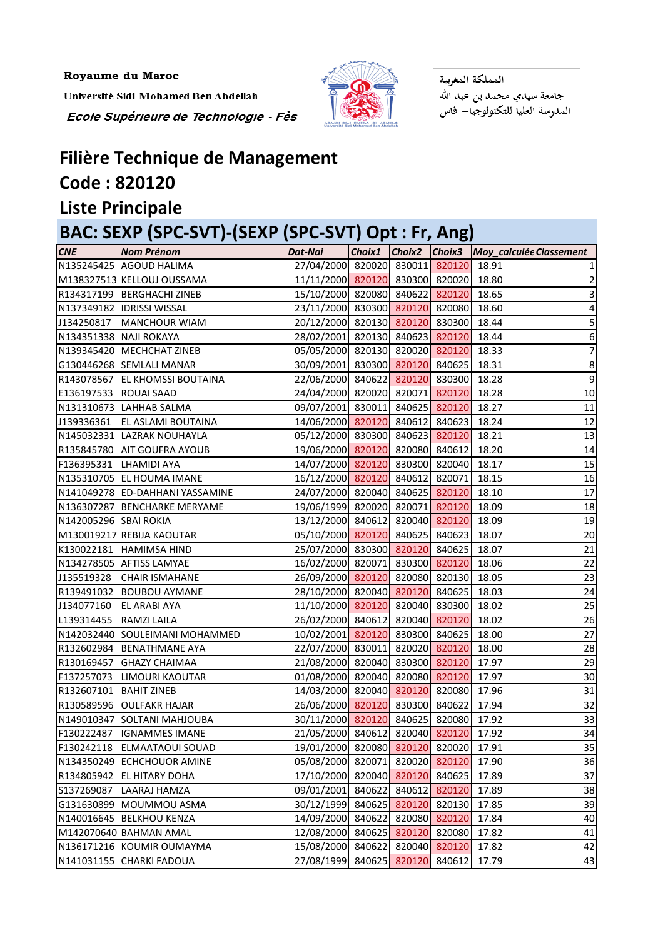Royaume du Maroc

Université Sidi Mohamed Ben Abdellah

Ecole Supérieure de Technologie - Fès



المملكة المغربية جامعة سيدي محمد بن عبد الله المدرسة العليا للتكنولوجيا— فاس

## **Filière Technique de Management Code : 820120**

#### **Liste Principale**

| BAC: SEXP (SPC-SVT)-(SEXP (SPC-SVT) Opt : Fr, Ang) |                                 |                                       |        |        |        |                         |    |  |
|----------------------------------------------------|---------------------------------|---------------------------------------|--------|--------|--------|-------------------------|----|--|
| <b>CNE</b>                                         | <b>Nom Prénom</b>               | Dat-Nai                               | Choix1 | Choix2 | Choix3 | Moy_calculée Classement |    |  |
|                                                    | N135245425 AGOUD HALIMA         | 27/04/2000 820020 830011 820120       |        |        |        | 18.91                   |    |  |
|                                                    | M138327513 KELLOUJ OUSSAMA      | 11/11/2000 820120 830300 820020 18.80 |        |        |        |                         |    |  |
|                                                    | R134317199   BERGHACHI ZINEB    | 15/10/2000 820080 840622 820120       |        |        |        | 18.65                   |    |  |
|                                                    | N137349182 IDRISSI WISSAL       | 23/11/2000 830300 820120 820080       |        |        |        | 18.60                   | 4  |  |
| J134250817                                         | MANCHOUR WIAM                   | 20/12/2000 820130 820120 830300       |        |        |        | 18.44                   |    |  |
| N134351338 NAJI ROKAYA                             |                                 | 28/02/2001 820130 840623 820120       |        |        |        | 18.44                   | 6  |  |
|                                                    | N139345420 MECHCHAT ZINEB       | 05/05/2000 820130 820020 820120 18.33 |        |        |        |                         |    |  |
|                                                    | G130446268 SEMLALI MANAR        | 30/09/2001 830300 820120 840625 18.31 |        |        |        |                         | 8  |  |
|                                                    | R143078567 EL KHOMSSI BOUTAINA  | 22/06/2000 840622 820120 830300       |        |        |        | 18.28                   | 9  |  |
| E136197533 ROUAI SAAD                              |                                 | 24/04/2000 820020 820071 820120       |        |        |        | 18.28                   | 10 |  |
|                                                    | N131310673 LAHHAB SALMA         | 09/07/2001 830011 840625 820120       |        |        |        | 18.27                   | 11 |  |
| J139336361                                         | <b>EL ASLAMI BOUTAINA</b>       | 14/06/2000 820120 840612 840623       |        |        |        | 18.24                   | 12 |  |
|                                                    | N145032331 LAZRAK NOUHAYLA      | 05/12/2000 830300 840623 820120       |        |        |        | 18.21                   | 13 |  |
|                                                    | R135845780 AIT GOUFRA AYOUB     | 19/06/2000 820120 820080 840612       |        |        |        | 18.20                   | 14 |  |
| F136395331 LHAMIDI AYA                             |                                 | 14/07/2000 820120 830300 820040       |        |        |        | 18.17                   | 15 |  |
|                                                    | N135310705 EL HOUMA IMANE       | 16/12/2000 820120 840612 820071       |        |        |        | 18.15                   | 16 |  |
|                                                    | N141049278 ED-DAHHANI YASSAMINE | 24/07/2000 820040 840625 820120       |        |        |        | 18.10                   | 17 |  |
|                                                    | N136307287 BENCHARKE MERYAME    | 19/06/1999 820020 820071 820120       |        |        |        | 18.09                   | 18 |  |
| N142005296 SBAI ROKIA                              |                                 | 13/12/2000 840612 820040 820120 18.09 |        |        |        |                         | 19 |  |
|                                                    | M130019217 REBIJA KAOUTAR       | 05/10/2000 820120 840625 840623       |        |        |        | 18.07                   | 20 |  |
|                                                    | K130022181 HAMIMSA HIND         | 25/07/2000 830300 820120 840625       |        |        |        | 18.07                   | 21 |  |
|                                                    | N134278505 AFTISS LAMYAE        | 16/02/2000 820071 830300 820120       |        |        |        | 18.06                   | 22 |  |
| J135519328                                         | <b>CHAIR ISMAHANE</b>           | 26/09/2000 820120 820080 820130       |        |        |        | 18.05                   | 23 |  |
|                                                    | R139491032 BOUBOU AYMANE        | 28/10/2000 820040 820120 840625       |        |        |        | 18.03                   | 24 |  |
| J134077160                                         | <b>EL ARABI AYA</b>             | 11/10/2000 820120 820040 830300       |        |        |        | 18.02                   | 25 |  |
| L139314455                                         | <b>RAMZI LAILA</b>              | 26/02/2000 840612 820040 820120       |        |        |        | 18.02                   | 26 |  |
|                                                    | N142032440 SOULEIMANI MOHAMMED  | 10/02/2001 820120 830300 840625 18.00 |        |        |        |                         | 27 |  |
|                                                    | R132602984 BENATHMANE AYA       | 22/07/2000 830011 820020 820120 18.00 |        |        |        |                         | 28 |  |
|                                                    | R130169457 GHAZY CHAIMAA        | 21/08/2000 820040 830300 820120 17.97 |        |        |        |                         | 29 |  |
| F137257073                                         | LIMOURI KAOUTAR                 | 01/08/2000 820040 820080 820120 17.97 |        |        |        |                         | 30 |  |
| R132607101                                         | <b>BAHIT ZINEB</b>              | 14/03/2000 820040 820120 820080       |        |        |        | 17.96                   | 31 |  |
|                                                    | R130589596 OULFAKR HAJAR        | 26/06/2000 820120 830300 840622       |        |        |        | 17.94                   | 32 |  |
|                                                    | N149010347 SOLTANI MAHJOUBA     | 30/11/2000 820120 840625 820080       |        |        |        | 17.92                   | 33 |  |
| F130222487                                         | <b>IGNAMMES IMANE</b>           | 21/05/2000 840612 820040 820120       |        |        |        | 17.92                   | 34 |  |
|                                                    | F130242118 ELMAATAOUI SOUAD     | 19/01/2000 820080 820120 820020       |        |        |        | 17.91                   | 35 |  |
|                                                    | N134350249 ECHCHOUOR AMINE      | 05/08/2000 820071 820020 820120       |        |        |        | 17.90                   | 36 |  |
|                                                    | R134805942 EL HITARY DOHA       | 17/10/2000 820040 820120 840625       |        |        |        | 17.89                   | 37 |  |
| S137269087                                         | LAARAJ HAMZA                    | 09/01/2001 840622 840612 820120       |        |        |        | 17.89                   | 38 |  |
|                                                    | G131630899 MOUMMOU ASMA         | 30/12/1999 840625 820120 820130       |        |        |        | 17.85                   | 39 |  |
|                                                    | N140016645 BELKHOU KENZA        | 14/09/2000 840622 820080 820120       |        |        |        | 17.84                   | 40 |  |
|                                                    | M142070640 BAHMAN AMAL          | 12/08/2000 840625 820120 820080       |        |        |        | 17.82                   | 41 |  |
|                                                    | N136171216 KOUMIR OUMAYMA       | 15/08/2000 840622 820040 820120       |        |        |        | 17.82                   | 42 |  |
|                                                    | N141031155 CHARKI FADOUA        | 27/08/1999 840625 820120 840612       |        |        |        | 17.79                   | 43 |  |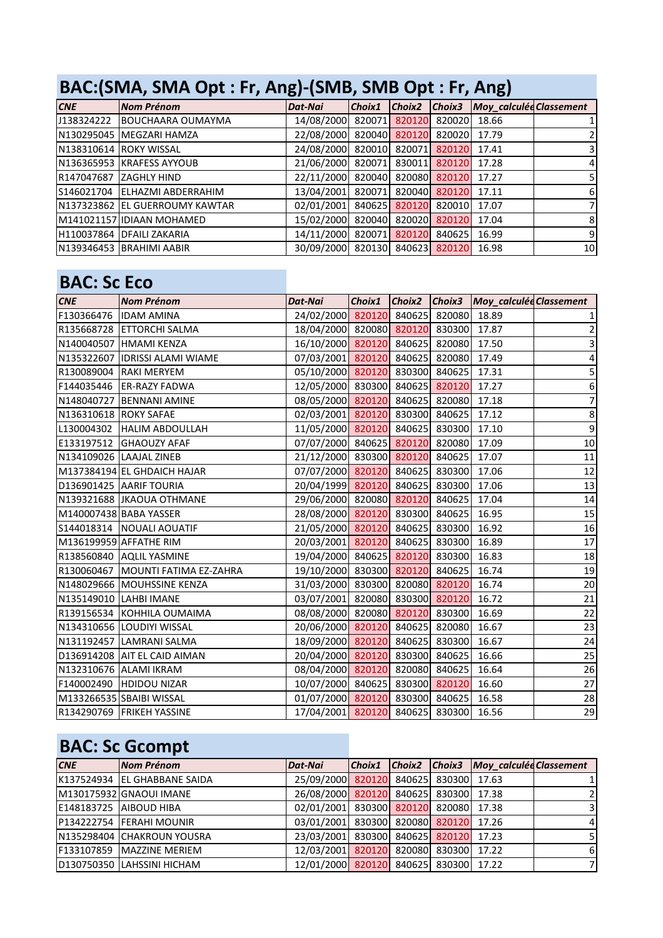### **BAC:(SMA, SMA Opt : Fr, Ang)-(SMB, SMB Opt : Fr, Ang)**

| CNE | Nom Prénom                     | <b>Dat-Nai</b>                        | Choix1 |  | Choix2 Choix3 Moy_calculée Classement |                |
|-----|--------------------------------|---------------------------------------|--------|--|---------------------------------------|----------------|
|     | J138324222 BOUCHAARA OUMAYMA   | 14/08/2000 820071 820120 820020 18.66 |        |  |                                       |                |
|     | N130295045   MEGZARI HAMZA     | 22/08/2000 820040 820120 820020 17.79 |        |  |                                       |                |
|     | N138310614 ROKY WISSAL         | 24/08/2000 820010 820071 820120 17.41 |        |  |                                       |                |
|     | N136365953 KRAFESS AYYOUB      | 21/06/2000 820071 830011 820120 17.28 |        |  |                                       | 4              |
|     | R147047687 ZAGHLY HIND         | 22/11/2000 820040 820080 820120 17.27 |        |  |                                       |                |
|     | S146021704 ELHAZMI ABDERRAHIM  | 13/04/2001 820071 820040 820120 17.11 |        |  |                                       | 61             |
|     | N137323862 EL GUERROUMY KAWTAR | 02/01/2001 840625 820120 820010 17.07 |        |  |                                       |                |
|     | M141021157 IDIAAN MOHAMED      | 15/02/2000 820040 820020 820120 17.04 |        |  |                                       | 8              |
|     | H110037864 DFAILI ZAKARIA      | 14/11/2000 820071 820120 840625 16.99 |        |  |                                       | $\overline{9}$ |
|     | N139346453 BRAHIMI AABIR       | 30/09/2000 820130 840623 820120 16.98 |        |  |                                       | 10             |

#### **BAC: Sc Eco**

| <b>CNE</b>             | <b>Nom Prénom</b>                 | Dat-Nai                               |  | Choix1 Choix2 Choix3 Moy_calculée Classement |                  |
|------------------------|-----------------------------------|---------------------------------------|--|----------------------------------------------|------------------|
| F130366476  IDAM AMINA |                                   | 24/02/2000 820120 840625 820080 18.89 |  |                                              |                  |
|                        | R135668728 ETTORCHI SALMA         | 18/04/2000 820080 820120 830300 17.87 |  |                                              |                  |
|                        | N140040507 HMAMI KENZA            | 16/10/2000 820120 840625 820080 17.50 |  |                                              | 3                |
|                        | N135322607  IDRISSI ALAMI WIAME   | 07/03/2001 820120 840625 820080 17.49 |  |                                              | 4                |
|                        | R130089004 RAKI MERYEM            | 05/10/2000 820120 830300 840625 17.31 |  |                                              | 5                |
|                        | F144035446 ER-RAZY FADWA          | 12/05/2000 830300 840625 820120 17.27 |  |                                              | $\boldsymbol{6}$ |
|                        | N148040727 BENNANI AMINE          | 08/05/2000 820120 840625 820080 17.18 |  |                                              | $\overline{7}$   |
| N136310618 ROKY SAFAE  |                                   | 02/03/2001 820120 830300 840625 17.12 |  |                                              | $\overline{8}$   |
|                        | L130004302 HALIM ABDOULLAH        | 11/05/2000 820120 840625 830300 17.10 |  |                                              | $\overline{9}$   |
|                        | E133197512 GHAOUZY AFAF           | 07/07/2000 840625 820120 820080       |  | 17.09                                        | 10               |
|                        | N134109026 LAAJAL ZINEB           | 21/12/2000 830300 820120 840625 17.07 |  |                                              | 11               |
|                        | M137384194 EL GHDAICH HAJAR       | 07/07/2000 820120 840625 830300 17.06 |  |                                              | 12               |
|                        | D136901425 AARIF TOURIA           | 20/04/1999 820120 840625 830300 17.06 |  |                                              | 13               |
|                        | N139321688 JKAOUA OTHMANE         | 29/06/2000 820080 820120 840625       |  | 17.04                                        | 14               |
|                        | M140007438 BABA YASSER            | 28/08/2000 820120 830300 840625 16.95 |  |                                              | 15               |
|                        | S144018314   NOUALI AOUATIF       | 21/05/2000 820120 840625 830300 16.92 |  |                                              | 16               |
|                        | M136199959 AFFATHE RIM            | 20/03/2001 820120 840625 830300 16.89 |  |                                              | 17               |
|                        | R138560840 AQLIL YASMINE          | 19/04/2000 840625 820120 830300       |  | 16.83                                        | 18               |
|                        | R130060467 MOUNTI FATIMA EZ-ZAHRA | 19/10/2000 830300 820120 840625 16.74 |  |                                              | 19               |
|                        | N148029666 MOUHSSINE KENZA        | 31/03/2000 830300 820080 820120 16.74 |  |                                              | 20               |
|                        | N135149010 LAHBI IMANE            | 03/07/2001 820080 830300 820120 16.72 |  |                                              | 21               |
|                        | R139156534 KOHHILA OUMAIMA        | 08/08/2000 820080 820120 830300 16.69 |  |                                              | $\overline{22}$  |
|                        | N134310656 LOUDIYI WISSAL         | 20/06/2000 820120 840625 820080 16.67 |  |                                              | $\overline{23}$  |
|                        | N131192457 LAMRANI SALMA          | 18/09/2000 820120 840625 830300 16.67 |  |                                              | 24               |
|                        | D136914208 AIT EL CAID AIMAN      | 20/04/2000 820120 830300 840625 16.66 |  |                                              | 25               |
|                        | N132310676 ALAMI IKRAM            | 08/04/2000 820120 820080 840625 16.64 |  |                                              | 26               |
|                        | F140002490 HDIDOU NIZAR           | 10/07/2000 840625 830300 820120 16.60 |  |                                              | $27$             |
|                        | M133266535 SBAIBI WISSAL          | 01/07/2000 820120 830300 840625 16.58 |  |                                              | 28               |
|                        | R134290769 FRIKEH YASSINE         | 17/04/2001 820120 840625 830300 16.56 |  |                                              | 29               |

### **BAC: Sc Gcompt**

| CNE | <b>Nom Prénom</b>            | Dat-Nai                               |  | Choix1 Choix2 Choix3 Moy_calculée Classement |   |
|-----|------------------------------|---------------------------------------|--|----------------------------------------------|---|
|     | K137524934 EL GHABBANE SAIDA | 25/09/2000 820120 840625 830300 17.63 |  |                                              |   |
|     | M130175932 GNAOUI IMANE      | 26/08/2000 820120 840625 830300 17.38 |  |                                              |   |
|     | E148183725 AIBOUD HIBA       | 02/01/2001 830300 820120 820080 17.38 |  |                                              |   |
|     | P134222754 FERAHI MOUNIR     | 03/01/2001 830300 820080 820120 17.26 |  |                                              |   |
|     | N135298404 CHAKROUN YOUSRA   | 23/03/2001 830300 840625 820120 17.23 |  |                                              |   |
|     | F133107859 MAZZINE MERIEM    | 12/03/2001 820120 820080 830300 17.22 |  |                                              | 6 |
|     | D130750350 LAHSSINI HICHAM   | 12/01/2000 820120 840625 830300 17.22 |  |                                              |   |